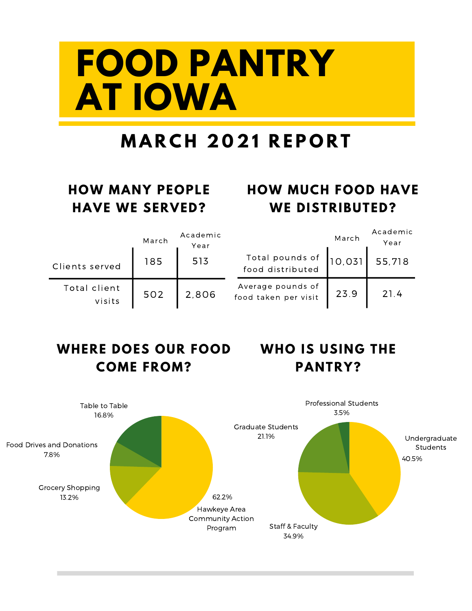# **FOOD PANTRY AT IOWA**

### **M A R C H 2 0 2 1 R E P O R T**

#### **HOW MANY PEOPLE HAVE WE SERVED?**

#### **HOW MUCH FOOD HAVE WE DISTRIBUTED?**

|                        | March | Academic<br>Year |                                           | March  | Academic<br>Year |
|------------------------|-------|------------------|-------------------------------------------|--------|------------------|
| Clients served         | 185   | 513              | Total pounds of<br>food distributed       | 10.031 | 55,718           |
| Total client<br>visits | 502   | 2,806            | Average pounds of<br>food taken per visit | 23.9   | 21.4             |

#### **WHERE DOES OUR FOOD COME FROM?**

#### **WHO IS USING THE PANTRY?**

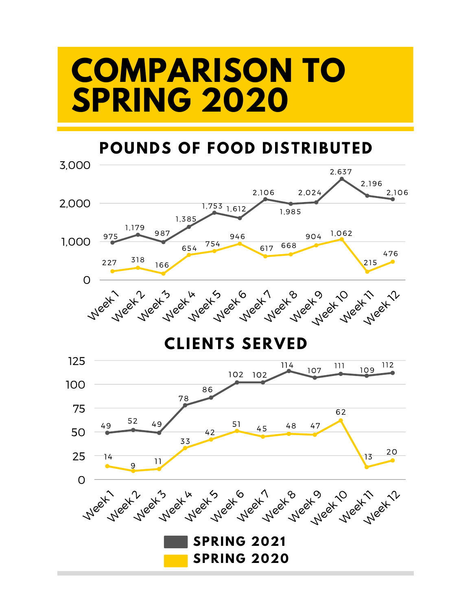### **COMPARISON TO SPRING 2020**

#### **POUNDS OF FOOD DISTRIBUTED**

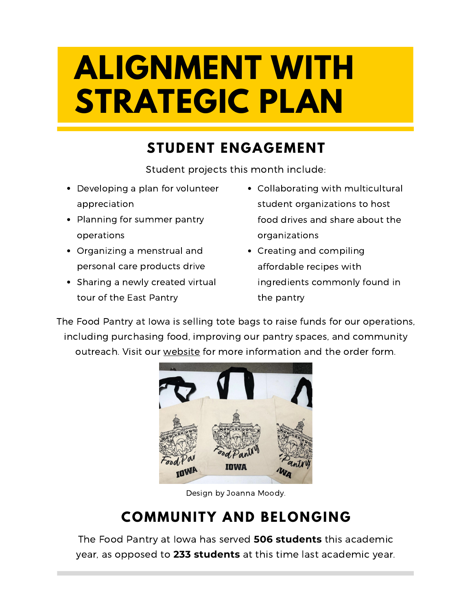## **ALIGNMENT WITH STRATEGIC PLAN**

#### **STUDENT ENGAGEMENT**

Student projects this month include:

- Developing a plan for volunteer appreciation
- Planning for summer pantry operations
- Organizing a menstrual and personal care products drive
- Sharing a newly created virtual tour of the East Pantry
- Collaborating with multicultural student organizations to host food drives and share about the organizations
- Creating and compiling affordable recipes with ingredients commonly found in the pantry

The Food Pantry at Iowa is selling tote bags to raise funds for our operations, including purchasing food, improving our pantry spaces, and community outreach. Visit our [website](https://leadandserve.uiowa.edu/organizations/food-pantry/tote-bag-sale/) for more information and the order form.



Design by Joanna Moody.

#### **COMMUNITY AND BELONGING**

The Food Pantry at Iowa has served **506 students** this academic year, as opposed to **233 students** at this time last academic year.